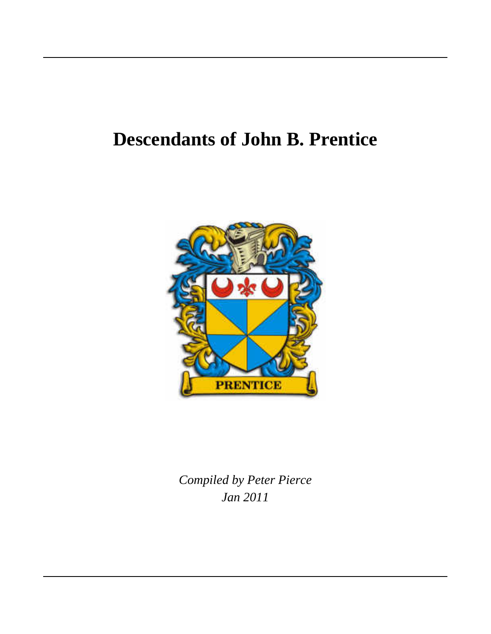# **Descendants of John B. Prentice**



*Jan 2011 Compiled by Peter Pierce*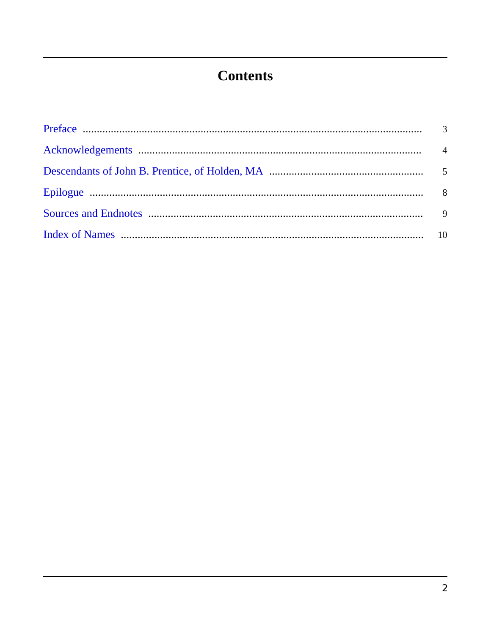# **Contents**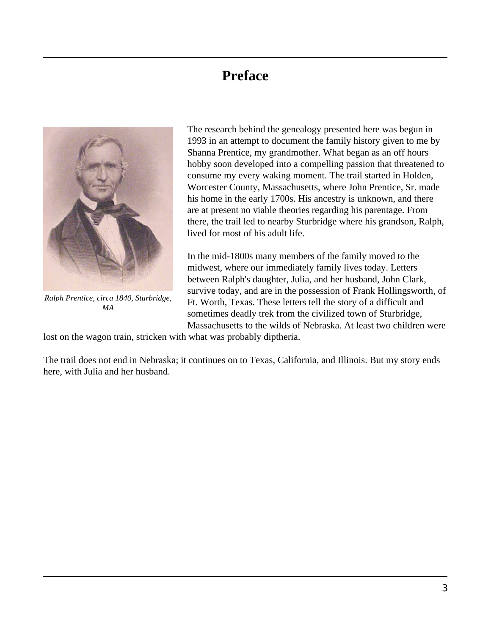#### **Preface**

<span id="page-2-0"></span>

*Ralph Prentice, circa 1840, Sturbridge, MA*

The research behind the genealogy presented here was begun in 1993 in an attempt to document the family history given to me by Shanna Prentice, my grandmother. What began as an off hours hobby soon developed into a compelling passion that threatened to consume my every waking moment. The trail started in Holden, Worcester County, Massachusetts, where John Prentice, Sr. made his home in the early 1700s. His ancestry is unknown, and there are at present no viable theories regarding his parentage. From there, the trail led to nearby Sturbridge where his grandson, Ralph, lived for most of his adult life.

In the mid-1800s many members of the family moved to the midwest, where our immediately family lives today. Letters between Ralph's daughter, Julia, and her husband, John Clark, survive today, and are in the possession of Frank Hollingsworth, of Ft. Worth, Texas. These letters tell the story of a difficult and sometimes deadly trek from the civilized town of Sturbridge, Massachusetts to the wilds of Nebraska. At least two children were

lost on the wagon train, stricken with what was probably diptheria.

The trail does not end in Nebraska; it continues on to Texas, California, and Illinois. But my story ends here, with Julia and her husband.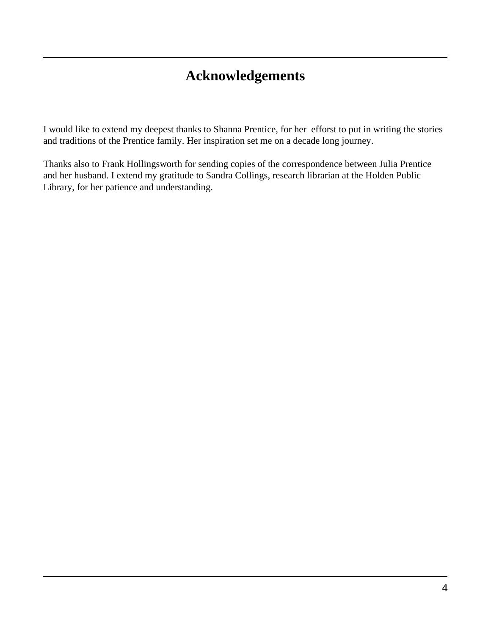### **Acknowledgements**

<span id="page-3-0"></span>I would like to extend my deepest thanks to Shanna Prentice, for her efforst to put in writing the stories and traditions of the Prentice family. Her inspiration set me on a decade long journey.

Thanks also to Frank Hollingsworth for sending copies of the correspondence between Julia Prentice and her husband. I extend my gratitude to Sandra Collings, research librarian at the Holden Public Library, for her patience and understanding.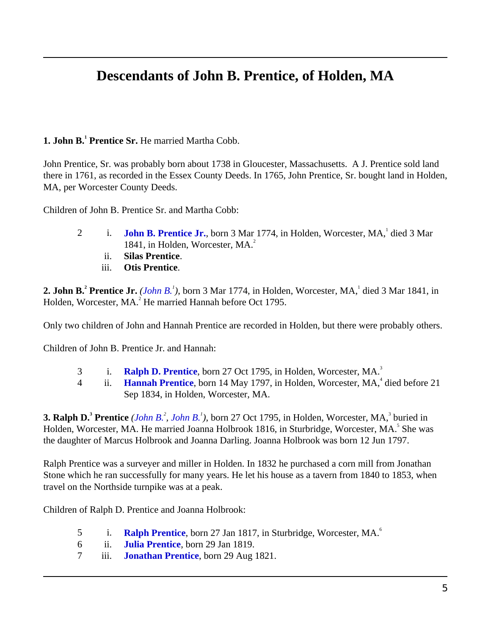### **Descendants of John B. Prentice, of Holden, MA**

#### <span id="page-4-4"></span><span id="page-4-2"></span><span id="page-4-0"></span>**1. John B.<sup>1</sup> Prentice Sr.** He married Martha Cobb.

John Prentice, Sr. was probably born about 1738 in Gloucester, Massachusetts. A J. Prentice sold land there in 1761, as recorded in the Essex County Deeds. In 1765, John Prentice, Sr. bought land in Holden, MA, per Worcester County Deeds.

<span id="page-4-8"></span>Children of John B. Prentice Sr. and Martha Cobb:

- 2 i. **[John B. Prentice Jr.](#page-4-1)**, born 3 Mar 1774, in Holden, Worcester, MA, died 3 Mar 1841, in Holden, Worcester, MA. 2
	- ii. **Silas Prentice**.
	- iii. **Otis Prentice**.

<span id="page-4-7"></span><span id="page-4-1"></span>2. John B.<sup>2</sup> Prentice Jr. *[\(John B.](#page-4-2)<sup>1</sup>)*, born 3 Mar 1774, in Holden, Worcester, MA, died 3 Mar 1841, in Holden, Worcester, MA.<sup>2</sup> He married Hannah before Oct 1795.

Only two children of John and Hannah Prentice are recorded in Holden, but there were probably others.

Children of John B. Prentice Jr. and Hannah:

- 3 i. **[Ralph D. Prentice](#page-4-3)**, born 27 Oct 1795, in Holden, Worcester, MA. 3
- 4 ii. **[Hannah Prentice](#page-5-0)**, born 14 May 1797, in Holden, Worcester, MA,<sup>4</sup> died before 21 Sep 1834, in Holden, Worcester, MA.

<span id="page-4-6"></span><span id="page-4-5"></span><span id="page-4-3"></span>**3. Ralph D.** Prentice (*[John B.](#page-4-1)*<sup>2</sup>, *John B.*<sup>1</sup>), born 27 Oct 1795, in Holden, Worcester, MA, <sup>3</sup> buried in Holden, Worcester, MA. He married Joanna Holbrook 1816, in Sturbridge, Worcester, MA.<sup>5</sup> She was the daughter of Marcus Holbrook and Joanna Darling. Joanna Holbrook was born 12 Jun 1797.

Ralph Prentice was a surveyer and miller in Holden. In 1832 he purchased a corn mill from Jonathan Stone which he ran successfully for many years. He let his house as a tavern from 1840 to 1853, when travel on the Northside turnpike was at a peak.

Children of Ralph D. Prentice and Joanna Holbrook:

- 5 i. [Ralph Prentice](#page-5-1), born 27 Jan 1817, in Sturbridge, Worcester, MA.<sup>6</sup>
- 6 ii. **[Julia Prentice](#page-5-2)**, born 29 Jan 1819.
- 7 iii. **[Jonathan Prentice](#page-5-3)**, born 29 Aug 1821.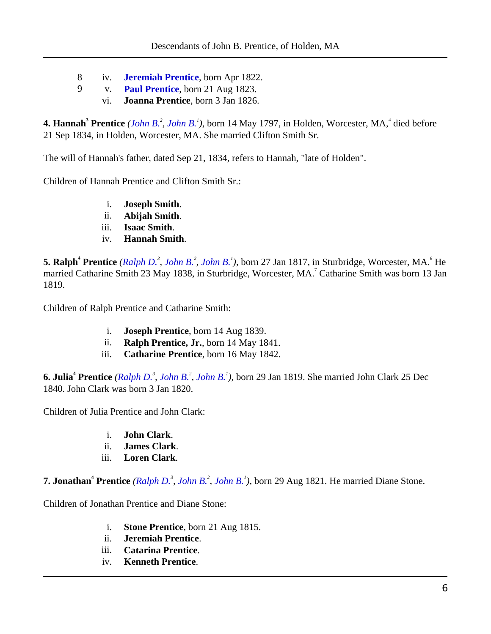- 8 iv. **[Jeremiah Prentice](#page-6-0)**, born Apr 1822.
- 9 v. **[Paul Prentice](#page-6-1)**, born 21 Aug 1823.
	- vi. **Joanna Prentice**, born 3 Jan 1826.

<span id="page-5-11"></span><span id="page-5-0"></span>**4. Hannah<sup>3</sup> Prentice** (*[John B.](#page-4-2)<sup>2</sup>, John B.<sup>1</sup>), born 14 May 1797, in Holden, Worcester, MA,<sup>4</sup> died before* 21 Sep 1834, in Holden, Worcester, MA. She married Clifton Smith Sr.

<span id="page-5-18"></span>The will of Hannah's father, dated Sep 21, 1834, refers to Hannah, "late of Holden".

<span id="page-5-21"></span><span id="page-5-20"></span><span id="page-5-16"></span>Children of Hannah Prentice and Clifton Smith Sr.:

- i. **Joseph Smith**.
- ii. **Abijah Smith**.
- iii. **Isaac Smith**.
- iv. **Hannah Smith**.

<span id="page-5-19"></span><span id="page-5-17"></span><span id="page-5-1"></span>**5. Ralph<sup>4</sup> Prentice** (*[Ralph D.](#page-4-3)<sup>3</sup>, [John B.](#page-4-1)<sup>2</sup>, [John B.](#page-4-2)<sup>1</sup>), born 27 Jan 1817, in Sturbridge, Worcester, MA.<sup>6</sup> He* married Catharine Smith 23 May 1838, in Sturbridge, Worcester, MA.<sup>7</sup> Catharine Smith was born 13 Jan 1819.

<span id="page-5-14"></span><span id="page-5-12"></span>Children of Ralph Prentice and Catharine Smith:

- i. **Joseph Prentice**, born 14 Aug 1839.
- ii. **Ralph Prentice, Jr.**, born 14 May 1841.
- iii. **Catharine Prentice**, born 16 May 1842.

<span id="page-5-9"></span><span id="page-5-5"></span><span id="page-5-2"></span>**6. Julia<sup>4</sup> Prentice** *([Ralph D.](#page-4-3)<sup>3</sup> , [John B.](#page-4-1)<sup>2</sup> , [John B.](#page-4-2)<sup>1</sup> )*, born 29 Jan 1819. She married John Clark 25 Dec 1840. John Clark was born 3 Jan 1820.

<span id="page-5-6"></span><span id="page-5-4"></span>Children of Julia Prentice and John Clark:

- i. **John Clark**.
- ii. **James Clark**.
- iii. **Loren Clark**.

<span id="page-5-22"></span><span id="page-5-7"></span><span id="page-5-3"></span>**7. Jonathan<sup>4</sup> Prentice** *([Ralph D.](#page-4-3)<sup>3</sup> , [John B.](#page-4-1)<sup>2</sup> , [John B.](#page-4-2)<sup>1</sup> )*, born 29 Aug 1821. He married Diane Stone.

<span id="page-5-15"></span><span id="page-5-13"></span><span id="page-5-10"></span><span id="page-5-8"></span>Children of Jonathan Prentice and Diane Stone:

- i. **Stone Prentice**, born 21 Aug 1815.
- ii. **Jeremiah Prentice**.
- iii. **Catarina Prentice**.
- iv. **Kenneth Prentice**.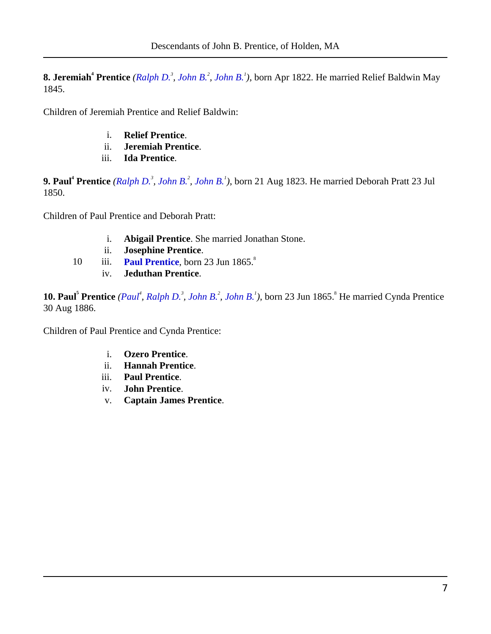<span id="page-6-3"></span><span id="page-6-0"></span>**8. Jeremiah<sup>4</sup> Prentice** *([Ralph D.](#page-4-3)<sup>3</sup> , [John B.](#page-4-1)<sup>2</sup> , [John B.](#page-4-2)<sup>1</sup> )*, born Apr 1822. He married Relief Baldwin May 1845.

<span id="page-6-16"></span><span id="page-6-11"></span>Children of Jeremiah Prentice and Relief Baldwin:

- i. **Relief Prentice**.
- ii. **Jeremiah Prentice**.
- iii. **Ida Prentice**.

<span id="page-6-9"></span><span id="page-6-4"></span><span id="page-6-1"></span>**9. Paul<sup>4</sup> Prentice** *([Ralph D.](#page-4-3)<sup>3</sup> , [John B.](#page-4-1)<sup>2</sup> , [John B.](#page-4-2)<sup>1</sup> )*, born 21 Aug 1823. He married Deborah Pratt 23 Jul 1850.

<span id="page-6-17"></span><span id="page-6-13"></span><span id="page-6-5"></span>Children of Paul Prentice and Deborah Pratt:

- i. **Abigail Prentice**. She married Jonathan Stone.
- ii. **Josephine Prentice**.
- 10 iii. **[Paul Prentice](#page-6-2)**, born 23 Jun 1865.<sup>8</sup>
	- iv. **Jeduthan Prentice**.

<span id="page-6-10"></span><span id="page-6-7"></span><span id="page-6-2"></span>**10. Paul<sup>5</sup> Prentice** *([Paul](#page-6-1)<sup>4</sup> , [Ralph D.](#page-4-3)<sup>3</sup> , [John B.](#page-4-1)<sup>2</sup> , [John B.](#page-4-2)<sup>1</sup> )*, born 23 Jun 1865. 8 He married Cynda Prentice 30 Aug 1886.

<span id="page-6-15"></span><span id="page-6-14"></span><span id="page-6-12"></span><span id="page-6-8"></span><span id="page-6-6"></span>Children of Paul Prentice and Cynda Prentice:

- i. **Ozero Prentice**.
- ii. **Hannah Prentice**.
- iii. **Paul Prentice**.
- iv. **John Prentice**.
- v. **Captain James Prentice**.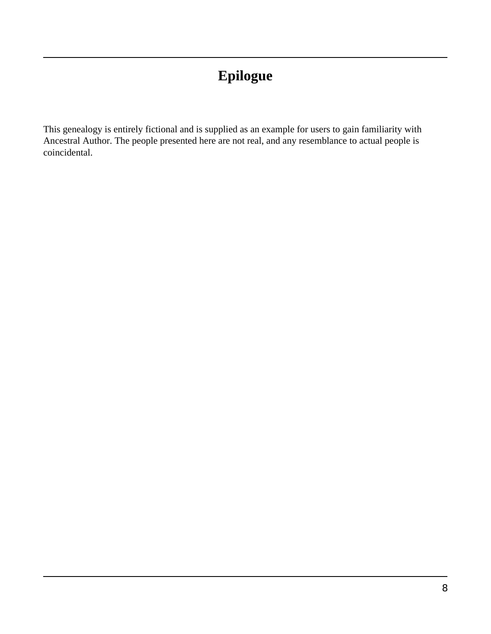# **Epilogue**

<span id="page-7-0"></span>This genealogy is entirely fictional and is supplied as an example for users to gain familiarity with Ancestral Author. The people presented here are not real, and any resemblance to actual people is coincidental.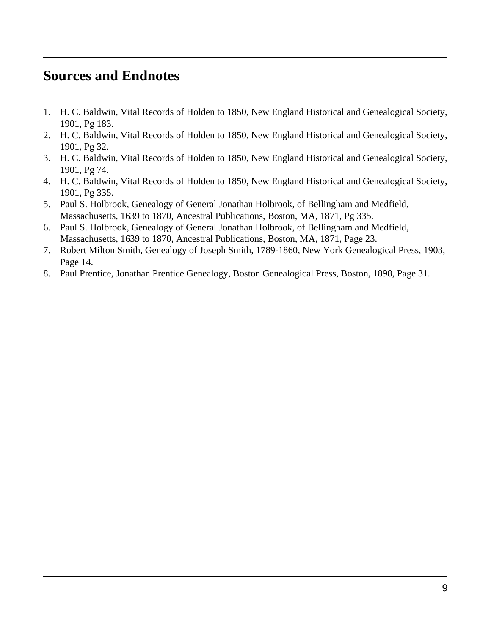#### <span id="page-8-0"></span>**Sources and Endnotes**

- 1. H. C. Baldwin, Vital Records of Holden to 1850, New England Historical and Genealogical Society, 1901, Pg 183.
- 2. H. C. Baldwin, Vital Records of Holden to 1850, New England Historical and Genealogical Society, 1901, Pg 32.
- 3. H. C. Baldwin, Vital Records of Holden to 1850, New England Historical and Genealogical Society, 1901, Pg 74.
- 4. H. C. Baldwin, Vital Records of Holden to 1850, New England Historical and Genealogical Society, 1901, Pg 335.
- 5. Paul S. Holbrook, Genealogy of General Jonathan Holbrook, of Bellingham and Medfield, Massachusetts, 1639 to 1870, Ancestral Publications, Boston, MA, 1871, Pg 335.
- 6. Paul S. Holbrook, Genealogy of General Jonathan Holbrook, of Bellingham and Medfield, Massachusetts, 1639 to 1870, Ancestral Publications, Boston, MA, 1871, Page 23.
- 7. Robert Milton Smith, Genealogy of Joseph Smith, 1789-1860, New York Genealogical Press, 1903, Page 14.
- 8. Paul Prentice, Jonathan Prentice Genealogy, Boston Genealogical Press, Boston, 1898, Page 31.